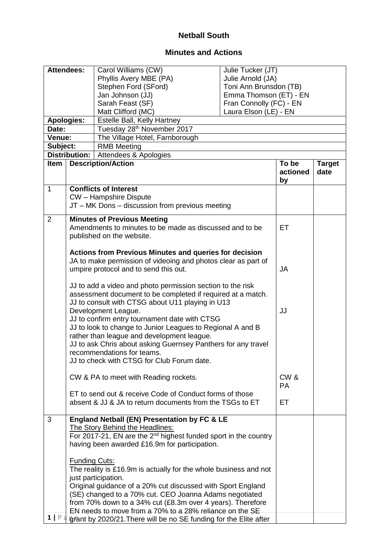## **Netball South**

## **Minutes and Actions**

|                | <b>Attendees:</b>                                           | Carol Williams (CW)                                                         | Julie Tucker (JT)       |           |               |
|----------------|-------------------------------------------------------------|-----------------------------------------------------------------------------|-------------------------|-----------|---------------|
|                |                                                             | Phyllis Avery MBE (PA)                                                      | Julie Arnold (JA)       |           |               |
|                |                                                             | Stephen Ford (SFord)                                                        | Toni Ann Brunsdon (TB)  |           |               |
|                |                                                             | Jan Johnson (JJ)                                                            | Emma Thomson (ET) - EN  |           |               |
|                |                                                             | Sarah Feast (SF)                                                            | Fran Connolly (FC) - EN |           |               |
|                |                                                             | Matt Clifford (MC)                                                          | Laura Elson (LE) - EN   |           |               |
|                | <b>Apologies:</b>                                           | Estelle Ball, Kelly Hartney                                                 |                         |           |               |
| Date:          |                                                             | Tuesday 28 <sup>th</sup> November 2017                                      |                         |           |               |
| Venue:         |                                                             | The Village Hotel, Farnborough                                              |                         |           |               |
| Subject:       |                                                             | <b>RMB Meeting</b>                                                          |                         |           |               |
|                | <b>Distribution:</b>                                        | Attendees & Apologies                                                       |                         |           |               |
| Item           |                                                             | <b>Description/Action</b>                                                   |                         | To be     | <b>Target</b> |
|                |                                                             |                                                                             |                         | actioned  | date          |
|                |                                                             |                                                                             |                         | by        |               |
| $\mathbf{1}$   |                                                             | <b>Conflicts of Interest</b>                                                |                         |           |               |
|                |                                                             | CW - Hampshire Dispute                                                      |                         |           |               |
|                |                                                             | JT - MK Dons - discussion from previous meeting                             |                         |           |               |
| $\overline{2}$ |                                                             | <b>Minutes of Previous Meeting</b>                                          |                         |           |               |
|                |                                                             | Amendments to minutes to be made as discussed and to be                     |                         | ET        |               |
|                |                                                             | published on the website.                                                   |                         |           |               |
|                |                                                             |                                                                             |                         |           |               |
|                |                                                             | <b>Actions from Previous Minutes and queries for decision</b>               |                         |           |               |
|                |                                                             | JA to make permission of videoing and photos clear as part of               |                         |           |               |
|                |                                                             | umpire protocol and to send this out.                                       |                         | <b>JA</b> |               |
|                |                                                             | JJ to add a video and photo permission section to the risk                  |                         |           |               |
|                | assessment document to be completed if required at a match. |                                                                             |                         |           |               |
|                | JJ to consult with CTSG about U11 playing in U13            |                                                                             |                         |           |               |
|                | Development League.                                         |                                                                             | JJ                      |           |               |
|                | JJ to confirm entry tournament date with CTSG               |                                                                             |                         |           |               |
|                | JJ to look to change to Junior Leagues to Regional A and B  |                                                                             |                         |           |               |
|                | rather than league and development league.                  |                                                                             |                         |           |               |
|                |                                                             | JJ to ask Chris about asking Guernsey Panthers for any travel               |                         |           |               |
|                |                                                             | recommendations for teams.                                                  |                         |           |               |
|                | JJ to check with CTSG for Club Forum date.                  |                                                                             |                         |           |               |
|                |                                                             |                                                                             |                         |           |               |
|                |                                                             | CW & PA to meet with Reading rockets.                                       |                         | CW &      |               |
|                |                                                             |                                                                             |                         | <b>PA</b> |               |
|                |                                                             | ET to send out & receive Code of Conduct forms of those                     |                         |           |               |
|                |                                                             | absent & JJ & JA to return documents from the TSGs to ET                    |                         | ET.       |               |
|                |                                                             |                                                                             |                         |           |               |
| 3              |                                                             | England Netball (EN) Presentation by FC & LE                                |                         |           |               |
|                |                                                             | The Story Behind the Headlines:                                             |                         |           |               |
|                |                                                             | For 2017-21, EN are the 2 <sup>nd</sup> highest funded sport in the country |                         |           |               |
|                |                                                             | having been awarded £16.9m for participation.                               |                         |           |               |
|                |                                                             |                                                                             |                         |           |               |
|                | <b>Funding Cuts:</b>                                        |                                                                             |                         |           |               |
|                |                                                             | The reality is £16.9m is actually for the whole business and not            |                         |           |               |
|                | just participation.                                         |                                                                             |                         |           |               |
|                |                                                             | Original guidance of a 20% cut discussed with Sport England                 |                         |           |               |
|                |                                                             | (SE) changed to a 70% cut. CEO Joanna Adams negotiated                      |                         |           |               |
|                |                                                             | from 70% down to a 34% cut (£8.3m over 4 years). Therefore                  |                         |           |               |
|                |                                                             | EN needs to move from a 70% to a 28% reliance on the SE                     |                         |           |               |
| $1 \mid P$ a   |                                                             | grant by 2020/21. There will be no SE funding for the Elite after           |                         |           |               |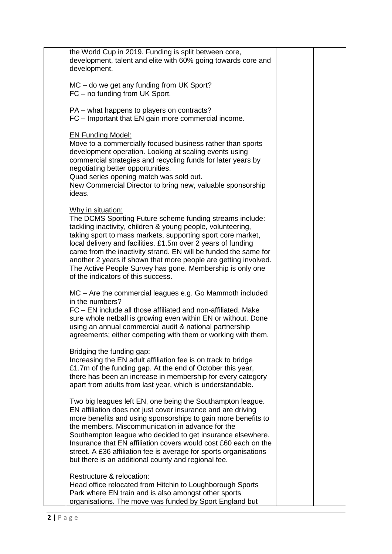| the World Cup in 2019. Funding is split between core,<br>development, talent and elite with 60% going towards core and<br>development.                                                                                                                                                                                                                                                                                                                                                                               |  |  |
|----------------------------------------------------------------------------------------------------------------------------------------------------------------------------------------------------------------------------------------------------------------------------------------------------------------------------------------------------------------------------------------------------------------------------------------------------------------------------------------------------------------------|--|--|
| MC - do we get any funding from UK Sport?<br>FC – no funding from UK Sport.                                                                                                                                                                                                                                                                                                                                                                                                                                          |  |  |
| PA – what happens to players on contracts?<br>FC - Important that EN gain more commercial income.                                                                                                                                                                                                                                                                                                                                                                                                                    |  |  |
| <b>EN Funding Model:</b><br>Move to a commercially focused business rather than sports<br>development operation. Looking at scaling events using<br>commercial strategies and recycling funds for later years by<br>negotiating better opportunities.<br>Quad series opening match was sold out.<br>New Commercial Director to bring new, valuable sponsorship<br>ideas.                                                                                                                                             |  |  |
| Why in situation:<br>The DCMS Sporting Future scheme funding streams include:<br>tackling inactivity, children & young people, volunteering,<br>taking sport to mass markets, supporting sport core market,<br>local delivery and facilities. £1.5m over 2 years of funding<br>came from the inactivity strand. EN will be funded the same for<br>another 2 years if shown that more people are getting involved.<br>The Active People Survey has gone. Membership is only one<br>of the indicators of this success. |  |  |
| MC – Are the commercial leagues e.g. Go Mammoth included<br>in the numbers?<br>FC - EN include all those affiliated and non-affiliated. Make<br>sure whole netball is growing even within EN or without. Done<br>using an annual commercial audit & national partnership<br>agreements; either competing with them or working with them.                                                                                                                                                                             |  |  |
| Bridging the funding gap:<br>Increasing the EN adult affiliation fee is on track to bridge<br>£1.7m of the funding gap. At the end of October this year,<br>there has been an increase in membership for every category<br>apart from adults from last year, which is understandable.                                                                                                                                                                                                                                |  |  |
| Two big leagues left EN, one being the Southampton league.<br>EN affiliation does not just cover insurance and are driving<br>more benefits and using sponsorships to gain more benefits to<br>the members. Miscommunication in advance for the<br>Southampton league who decided to get insurance elsewhere.<br>Insurance that EN affiliation covers would cost £60 each on the<br>street. A £36 affiliation fee is average for sports organisations<br>but there is an additional county and regional fee.         |  |  |
| Restructure & relocation:<br>Head office relocated from Hitchin to Loughborough Sports<br>Park where EN train and is also amongst other sports<br>organisations. The move was funded by Sport England but                                                                                                                                                                                                                                                                                                            |  |  |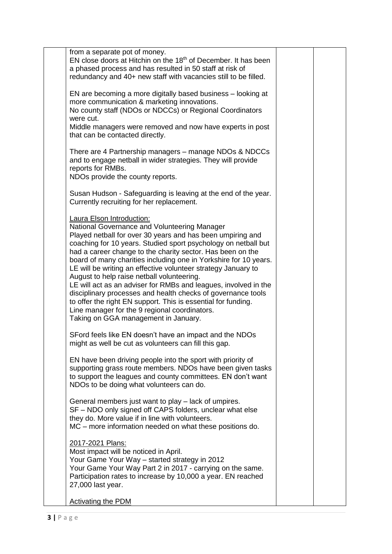| from a separate pot of money.<br>EN close doors at Hitchin on the 18 <sup>th</sup> of December. It has been<br>a phased process and has resulted in 50 staff at risk of<br>redundancy and 40+ new staff with vacancies still to be filled.                                                                                                                                                                                                                                                                                                                                                                                                                                                                                                                     |  |
|----------------------------------------------------------------------------------------------------------------------------------------------------------------------------------------------------------------------------------------------------------------------------------------------------------------------------------------------------------------------------------------------------------------------------------------------------------------------------------------------------------------------------------------------------------------------------------------------------------------------------------------------------------------------------------------------------------------------------------------------------------------|--|
| EN are becoming a more digitally based business - looking at<br>more communication & marketing innovations.<br>No county staff (NDOs or NDCCs) or Regional Coordinators<br>were cut.                                                                                                                                                                                                                                                                                                                                                                                                                                                                                                                                                                           |  |
| Middle managers were removed and now have experts in post<br>that can be contacted directly.                                                                                                                                                                                                                                                                                                                                                                                                                                                                                                                                                                                                                                                                   |  |
| There are 4 Partnership managers - manage NDOs & NDCCs<br>and to engage netball in wider strategies. They will provide<br>reports for RMBs.<br>NDOs provide the county reports.                                                                                                                                                                                                                                                                                                                                                                                                                                                                                                                                                                                |  |
| Susan Hudson - Safeguarding is leaving at the end of the year.<br>Currently recruiting for her replacement.                                                                                                                                                                                                                                                                                                                                                                                                                                                                                                                                                                                                                                                    |  |
| <b>Laura Elson Introduction:</b><br>National Governance and Volunteering Manager<br>Played netball for over 30 years and has been umpiring and<br>coaching for 10 years. Studied sport psychology on netball but<br>had a career change to the charity sector. Has been on the<br>board of many charities including one in Yorkshire for 10 years.<br>LE will be writing an effective volunteer strategy January to<br>August to help raise netball volunteering.<br>LE will act as an adviser for RMBs and leagues, involved in the<br>disciplinary processes and health checks of governance tools<br>to offer the right EN support. This is essential for funding.<br>Line manager for the 9 regional coordinators.<br>Taking on GGA management in January. |  |
| SFord feels like EN doesn't have an impact and the NDOs<br>might as well be cut as volunteers can fill this gap.                                                                                                                                                                                                                                                                                                                                                                                                                                                                                                                                                                                                                                               |  |
| EN have been driving people into the sport with priority of<br>supporting grass route members. NDOs have been given tasks<br>to support the leagues and county committees. EN don't want<br>NDOs to be doing what volunteers can do.                                                                                                                                                                                                                                                                                                                                                                                                                                                                                                                           |  |
| General members just want to play – lack of umpires.<br>SF - NDO only signed off CAPS folders, unclear what else<br>they do. More value if in line with volunteers.<br>MC – more information needed on what these positions do.                                                                                                                                                                                                                                                                                                                                                                                                                                                                                                                                |  |
| 2017-2021 Plans:<br>Most impact will be noticed in April.<br>Your Game Your Way - started strategy in 2012<br>Your Game Your Way Part 2 in 2017 - carrying on the same.<br>Participation rates to increase by 10,000 a year. EN reached<br>27,000 last year.                                                                                                                                                                                                                                                                                                                                                                                                                                                                                                   |  |
| <b>Activating the PDM</b>                                                                                                                                                                                                                                                                                                                                                                                                                                                                                                                                                                                                                                                                                                                                      |  |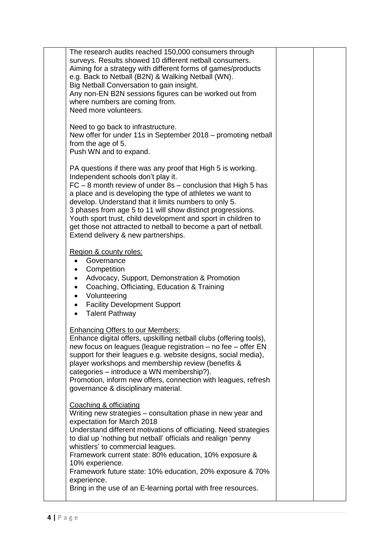| The research audits reached 150,000 consumers through<br>surveys. Results showed 10 different netball consumers.<br>Aiming for a strategy with different forms of games/products<br>e.g. Back to Netball (B2N) & Walking Netball (WN).<br>Big Netball Conversation to gain insight.<br>Any non-EN B2N sessions figures can be worked out from                                                                                                                                                                                        |  |
|--------------------------------------------------------------------------------------------------------------------------------------------------------------------------------------------------------------------------------------------------------------------------------------------------------------------------------------------------------------------------------------------------------------------------------------------------------------------------------------------------------------------------------------|--|
| where numbers are coming from.<br>Need more volunteers.                                                                                                                                                                                                                                                                                                                                                                                                                                                                              |  |
| Need to go back to infrastructure.<br>New offer for under 11s in September 2018 – promoting netball<br>from the age of 5.<br>Push WN and to expand.                                                                                                                                                                                                                                                                                                                                                                                  |  |
| PA questions if there was any proof that High 5 is working.<br>Independent schools don't play it.<br>$FC - 8$ month review of under $8s -$ conclusion that High 5 has<br>a place and is developing the type of athletes we want to<br>develop. Understand that it limits numbers to only 5.<br>3 phases from age 5 to 11 will show distinct progressions.<br>Youth sport trust, child development and sport in children to<br>get those not attracted to netball to become a part of netball.<br>Extend delivery & new partnerships. |  |
| Region & county roles:<br>Governance<br>$\bullet$<br>Competition<br>Advocacy, Support, Demonstration & Promotion<br>Coaching, Officiating, Education & Training<br>Volunteering<br>$\bullet$<br><b>Facility Development Support</b><br>$\bullet$<br><b>Talent Pathway</b><br>$\bullet$                                                                                                                                                                                                                                               |  |
| <b>Enhancing Offers to our Members:</b><br>Enhance digital offers, upskilling netball clubs (offering tools),<br>new focus on leagues (league registration – no fee – offer EN<br>support for their leagues e.g. website designs, social media),<br>player workshops and membership review (benefits &<br>categories - introduce a WN membership?).<br>Promotion, inform new offers, connection with leagues, refresh<br>governance & disciplinary material.                                                                         |  |
| Coaching & officiating<br>Writing new strategies - consultation phase in new year and<br>expectation for March 2018<br>Understand different motivations of officiating. Need strategies<br>to dial up 'nothing but netball' officials and realign 'penny<br>whistlers' to commercial leagues.<br>Framework current state: 80% education, 10% exposure &<br>10% experience.<br>Framework future state: 10% education, 20% exposure & 70%<br>experience.                                                                               |  |
| Bring in the use of an E-learning portal with free resources.                                                                                                                                                                                                                                                                                                                                                                                                                                                                        |  |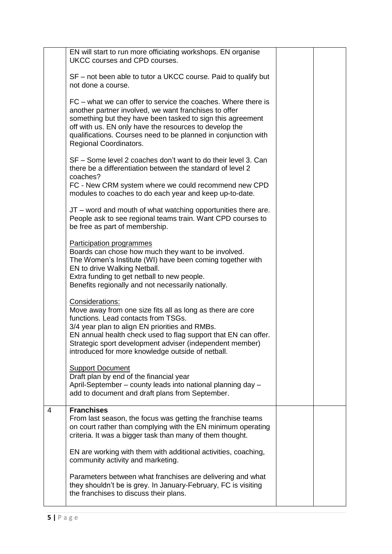|   | EN will start to run more officiating workshops. EN organise<br>UKCC courses and CPD courses.                                                                                                                                                                                                                                                             |  |
|---|-----------------------------------------------------------------------------------------------------------------------------------------------------------------------------------------------------------------------------------------------------------------------------------------------------------------------------------------------------------|--|
|   | SF – not been able to tutor a UKCC course. Paid to qualify but<br>not done a course.                                                                                                                                                                                                                                                                      |  |
|   | FC – what we can offer to service the coaches. Where there is<br>another partner involved, we want franchises to offer<br>something but they have been tasked to sign this agreement<br>off with us. EN only have the resources to develop the<br>qualifications. Courses need to be planned in conjunction with<br>Regional Coordinators.                |  |
|   | SF – Some level 2 coaches don't want to do their level 3. Can<br>there be a differentiation between the standard of level 2<br>coaches?<br>FC - New CRM system where we could recommend new CPD                                                                                                                                                           |  |
|   | modules to coaches to do each year and keep up-to-date.                                                                                                                                                                                                                                                                                                   |  |
|   | JT - word and mouth of what watching opportunities there are.<br>People ask to see regional teams train. Want CPD courses to<br>be free as part of membership.                                                                                                                                                                                            |  |
|   | <b>Participation programmes</b><br>Boards can chose how much they want to be involved.<br>The Women's Institute (WI) have been coming together with<br>EN to drive Walking Netball.<br>Extra funding to get netball to new people.<br>Benefits regionally and not necessarily nationally.                                                                 |  |
|   | Considerations:<br>Move away from one size fits all as long as there are core<br>functions. Lead contacts from TSGs.<br>3/4 year plan to align EN priorities and RMBs.<br>EN annual health check used to flag support that EN can offer.<br>Strategic sport development adviser (independent member)<br>introduced for more knowledge outside of netball. |  |
|   | <b>Support Document</b><br>Draft plan by end of the financial year<br>April-September - county leads into national planning day -<br>add to document and draft plans from September.                                                                                                                                                                      |  |
| 4 | <b>Franchises</b><br>From last season, the focus was getting the franchise teams<br>on court rather than complying with the EN minimum operating<br>criteria. It was a bigger task than many of them thought.                                                                                                                                             |  |
|   | EN are working with them with additional activities, coaching,<br>community activity and marketing.                                                                                                                                                                                                                                                       |  |
|   | Parameters between what franchises are delivering and what<br>they shouldn't be is grey. In January-February, FC is visiting<br>the franchises to discuss their plans.                                                                                                                                                                                    |  |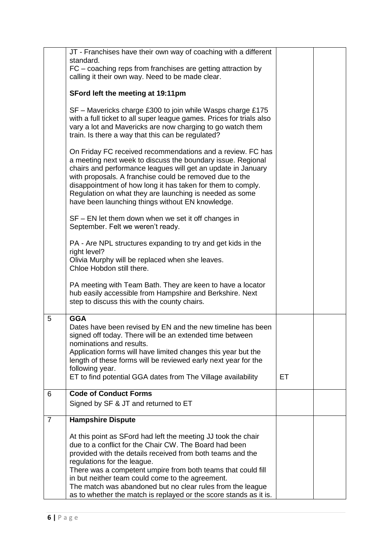|                | JT - Franchises have their own way of coaching with a different<br>standard.<br>FC - coaching reps from franchises are getting attraction by                                                                                                                                                                                                                                                                                                                                |           |  |
|----------------|-----------------------------------------------------------------------------------------------------------------------------------------------------------------------------------------------------------------------------------------------------------------------------------------------------------------------------------------------------------------------------------------------------------------------------------------------------------------------------|-----------|--|
|                | calling it their own way. Need to be made clear.                                                                                                                                                                                                                                                                                                                                                                                                                            |           |  |
|                | SFord left the meeting at 19:11pm                                                                                                                                                                                                                                                                                                                                                                                                                                           |           |  |
|                | SF – Mavericks charge £300 to join while Wasps charge £175<br>with a full ticket to all super league games. Prices for trials also<br>vary a lot and Mavericks are now charging to go watch them<br>train. Is there a way that this can be regulated?                                                                                                                                                                                                                       |           |  |
|                | On Friday FC received recommendations and a review. FC has<br>a meeting next week to discuss the boundary issue. Regional<br>chairs and performance leagues will get an update in January<br>with proposals. A franchise could be removed due to the<br>disappointment of how long it has taken for them to comply.<br>Regulation on what they are launching is needed as some<br>have been launching things without EN knowledge.                                          |           |  |
|                | $SF - EN$ let them down when we set it off changes in<br>September. Felt we weren't ready.                                                                                                                                                                                                                                                                                                                                                                                  |           |  |
|                | PA - Are NPL structures expanding to try and get kids in the<br>right level?<br>Olivia Murphy will be replaced when she leaves.<br>Chloe Hobdon still there.                                                                                                                                                                                                                                                                                                                |           |  |
|                | PA meeting with Team Bath. They are keen to have a locator<br>hub easily accessible from Hampshire and Berkshire. Next<br>step to discuss this with the county chairs.                                                                                                                                                                                                                                                                                                      |           |  |
| 5              | <b>GGA</b><br>Dates have been revised by EN and the new timeline has been<br>signed off today. There will be an extended time between<br>nominations and results.<br>Application forms will have limited changes this year but the<br>length of these forms will be reviewed early next year for the<br>following year.<br>ET to find potential GGA dates from The Village availability                                                                                     | <b>ET</b> |  |
| 6              | <b>Code of Conduct Forms</b>                                                                                                                                                                                                                                                                                                                                                                                                                                                |           |  |
|                | Signed by SF & JT and returned to ET                                                                                                                                                                                                                                                                                                                                                                                                                                        |           |  |
| $\overline{7}$ | <b>Hampshire Dispute</b>                                                                                                                                                                                                                                                                                                                                                                                                                                                    |           |  |
|                | At this point as SFord had left the meeting JJ took the chair<br>due to a conflict for the Chair CW. The Board had been<br>provided with the details received from both teams and the<br>regulations for the league.<br>There was a competent umpire from both teams that could fill<br>in but neither team could come to the agreement.<br>The match was abandoned but no clear rules from the league<br>as to whether the match is replayed or the score stands as it is. |           |  |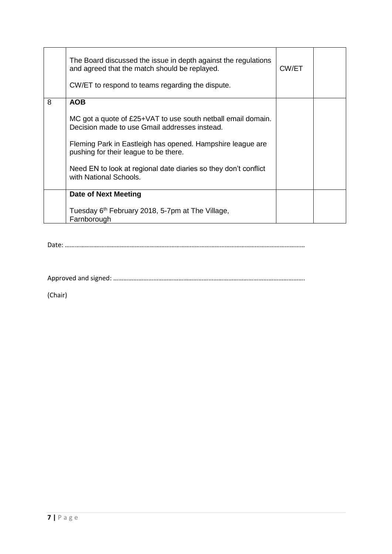|   | The Board discussed the issue in depth against the regulations<br>and agreed that the match should be replayed.<br>CW/ET to respond to teams regarding the dispute. | CW/ET |  |
|---|---------------------------------------------------------------------------------------------------------------------------------------------------------------------|-------|--|
| 8 | <b>AOB</b>                                                                                                                                                          |       |  |
|   | MC got a quote of £25+VAT to use south netball email domain.<br>Decision made to use Gmail addresses instead.                                                       |       |  |
|   | Fleming Park in Eastleigh has opened. Hampshire league are<br>pushing for their league to be there.                                                                 |       |  |
|   | Need EN to look at regional date diaries so they don't conflict<br>with National Schools.                                                                           |       |  |
|   | Date of Next Meeting                                                                                                                                                |       |  |
|   | Tuesday 6 <sup>th</sup> February 2018, 5-7pm at The Village,<br>Farnborough                                                                                         |       |  |

Date: ………………………………………………………………………………………………………………………………

Approved and signed: …………………………………………………………………………………………………….

(Chair)